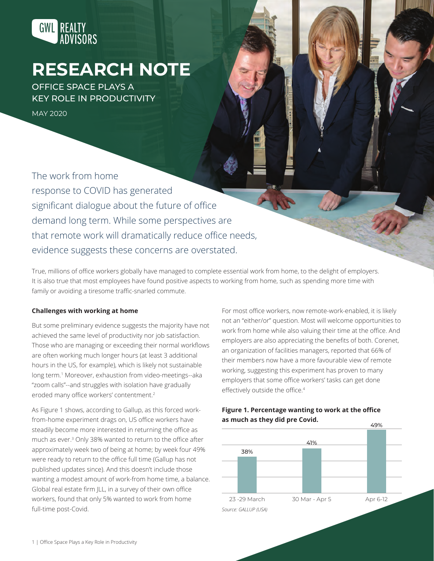

# **RESEARCH NOTE**

OFFICE SPACE PLAYS A KEY ROLE IN PRODUCTIVITY

MAY 2020

The work from home response to COVID has generated significant dialogue about the future of office demand long term. While some perspectives are that remote work will dramatically reduce office needs, evidence suggests these concerns are overstated.

True, millions of office workers globally have managed to complete essential work from home, to the delight of employers. It is also true that most employees have found positive aspects to working from home, such as spending more time with family or avoiding a tiresome traffic-snarled commute.

#### **Challenges with working at home**

But some preliminary evidence suggests the majority have not achieved the same level of productivity nor job satisfaction. Those who are managing or exceeding their normal workflows are often working much longer hours (at least 3 additional hours in the US, for example), which is likely not sustainable long term.<sup>1</sup> Moreover, exhaustion from video-meetings--aka "zoom calls"--and struggles with isolation have gradually eroded many office workers' contentment.<sup>2</sup>

As Figure 1 shows, according to Gallup, as this forced workfrom-home experiment drags on, US office workers have steadily become more interested in returning the office as much as ever.3 Only 38% wanted to return to the office after approximately week two of being at home; by week four 49% were ready to return to the office full time (Gallup has not published updates since). And this doesn't include those wanting a modest amount of work-from home time, a balance. Global real estate firm JLL, in a survey of their own office workers, found that only 5% wanted to work from home full-time post-Covid.

For most office workers, now remote-work-enabled, it is likely not an "either/or" question. Most will welcome opportunities to work from home while also valuing their time at the office. And employers are also appreciating the benefits of both. Corenet, an organization of facilities managers, reported that 66% of their members now have a more favourable view of remote working, suggesting this experiment has proven to many employers that some office workers' tasks can get done effectively outside the office.<sup>4</sup>



### **Figure 1. Percentage wanting to work at the office as much as they did pre Covid.**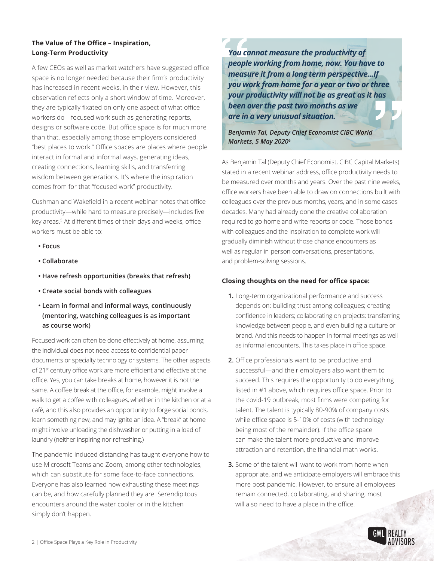## **The Value of The Office – Inspiration, Long-Term Productivity**

A few CEOs as well as market watchers have suggested office space is no longer needed because their firm's productivity has increased in recent weeks, in their view. However, this observation reflects only a short window of time. Moreover, they are typically fixated on only one aspect of what office workers do—focused work such as generating reports, designs or software code. But office space is for much more than that, especially among those employers considered "best places to work." Office spaces are places where people interact in formal and informal ways, generating ideas, creating connections, learning skills, and transferring wisdom between generations. It's where the inspiration comes from for that "focused work" productivity.

Cushman and Wakefield in a recent webinar notes that office productivity—while hard to measure precisely—includes five key areas.5 At different times of their days and weeks, office workers must be able to:

- **Focus**
- **Collaborate**
- **Have refresh opportunities (breaks that refresh)**
- **Create social bonds with colleagues**
- **Learn in formal and informal ways, continuously (mentoring, watching colleagues is as important as course work)**

Focused work can often be done effectively at home, assuming the individual does not need access to confidential paper documents or specialty technology or systems. The other aspects of 21<sup>st</sup> century office work are more efficient and effective at the office. Yes, you can take breaks at home, however it is not the same. A coffee break at the office, for example, might involve a walk to get a coffee with colleagues, whether in the kitchen or at a café, and this also provides an opportunity to forge social bonds, learn something new, and may ignite an idea. A "break" at home might involve unloading the dishwasher or putting in a load of laundry (neither inspiring nor refreshing.)

The pandemic-induced distancing has taught everyone how to use Microsoft Teams and Zoom, among other technologies, which can substitute for some face-to-face connections. Everyone has also learned how exhausting these meetings can be, and how carefully planned they are. Serendipitous encounters around the water cooler or in the kitchen simply don't happen.

*You cannot measure the productivity of people working from home, now. You have to measure it from a long term perspective...If you work from home for a year or two or three your productivity will not be as great as it has been over the past two months as we are in a very unusual situation.* 

*Benjamin Tal, Deputy Chief Economist CIBC World Markets, 5 May 2020***<sup>6</sup>**

As Benjamin Tal (Deputy Chief Economist, CIBC Capital Markets) stated in a recent webinar address, office productivity needs to be measured over months and years. Over the past nine weeks, office workers have been able to draw on connections built with colleagues over the previous months, years, and in some cases decades. Many had already done the creative collaboration required to go home and write reports or code. Those bonds with colleagues and the inspiration to complete work will gradually diminish without those chance encounters as well as regular in-person conversations, presentations, and problem-solving sessions.

## **Closing thoughts on the need for office space:**

- **1.** Long-term organizational performance and success depends on: building trust among colleagues; creating confidence in leaders; collaborating on projects; transferring knowledge between people, and even building a culture or brand. And this needs to happen in formal meetings as well as informal encounters. This takes place in office space.
- **2.** Office professionals want to be productive and successful—and their employers also want them to succeed. This requires the opportunity to do everything listed in #1 above, which requires office space. Prior to the covid-19 outbreak, most firms were competing for talent. The talent is typically 80-90% of company costs while office space is 5-10% of costs (with technology being most of the remainder). If the office space can make the talent more productive and improve attraction and retention, the financial math works.
- **3.** Some of the talent will want to work from home when appropriate, and we anticipate employers will embrace this more post-pandemic. However, to ensure all employees remain connected, collaborating, and sharing, most will also need to have a place in the office.